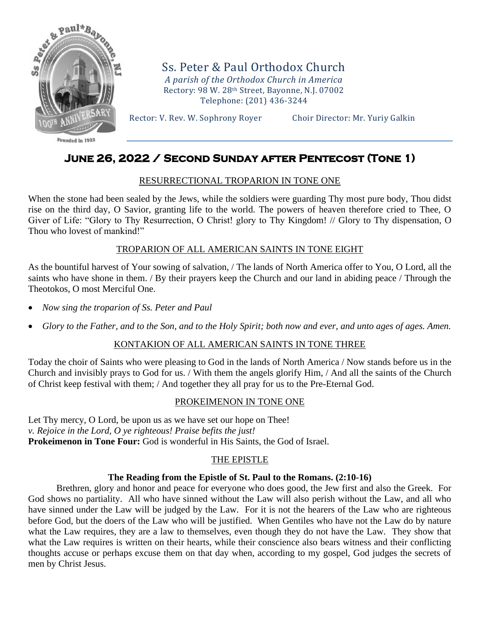

 $F$ anndad in  $1922$ 

Ss. Peter & Paul Orthodox Church *A parish of the Orthodox Church in America* Rectory: 98 W. 28th Street, Bayonne, N.J. 07002 Telephone: (201) 436-3244

Rector: V. Rev. W. Sophrony Royer Choir Director: Mr. Yuriy Galkin

# **June 26, 2022 / Second Sunday after Pentecost (Tone 1)**

## RESURRECTIONAL TROPARION IN TONE ONE

When the stone had been sealed by the Jews, while the soldiers were guarding Thy most pure body, Thou didst rise on the third day, O Savior, granting life to the world. The powers of heaven therefore cried to Thee, O Giver of Life: "Glory to Thy Resurrection, O Christ! glory to Thy Kingdom! // Glory to Thy dispensation, O Thou who lovest of mankind!"

## TROPARION OF ALL AMERICAN SAINTS IN TONE EIGHT

As the bountiful harvest of Your sowing of salvation, / The lands of North America offer to You, O Lord, all the saints who have shone in them. / By their prayers keep the Church and our land in abiding peace / Through the Theotokos, O most Merciful One.

- *Now sing the troparion of Ss. Peter and Paul*
- *Glory to the Father, and to the Son, and to the Holy Spirit; both now and ever, and unto ages of ages. Amen.*

# KONTAKION OF ALL AMERICAN SAINTS IN TONE THREE

Today the choir of Saints who were pleasing to God in the lands of North America / Now stands before us in the Church and invisibly prays to God for us. / With them the angels glorify Him, / And all the saints of the Church of Christ keep festival with them; / And together they all pray for us to the Pre-Eternal God.

### PROKEIMENON IN TONE ONE

Let Thy mercy, O Lord, be upon us as we have set our hope on Thee! *v. Rejoice in the Lord, O ye righteous! Praise befits the just!* **Prokeimenon in Tone Four:** God is wonderful in His Saints, the God of Israel.

# THE EPISTLE

### **The Reading from the Epistle of St. Paul to the Romans. (2:10-16)**

Brethren, glory and honor and peace for everyone who does good, the Jew first and also the Greek. For God shows no partiality. All who have sinned without the Law will also perish without the Law, and all who have sinned under the Law will be judged by the Law. For it is not the hearers of the Law who are righteous before God, but the doers of the Law who will be justified. When Gentiles who have not the Law do by nature what the Law requires, they are a law to themselves, even though they do not have the Law. They show that what the Law requires is written on their hearts, while their conscience also bears witness and their conflicting thoughts accuse or perhaps excuse them on that day when, according to my gospel, God judges the secrets of men by Christ Jesus.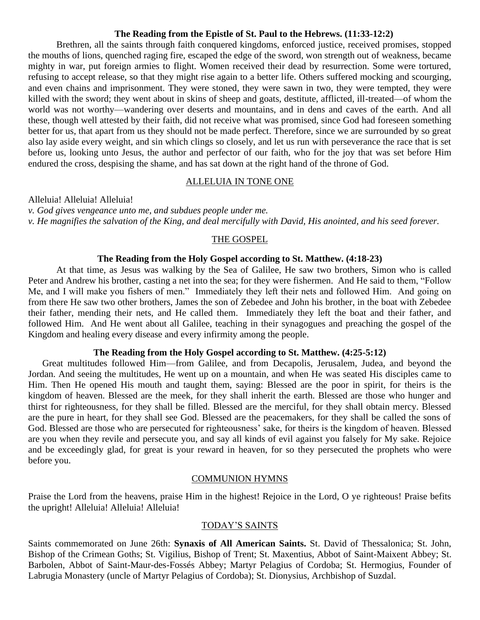#### **The Reading from the Epistle of St. Paul to the Hebrews. (11:33-12:2)**

Brethren, all the saints through faith conquered kingdoms, enforced justice, received promises, stopped the mouths of lions, quenched raging fire, escaped the edge of the sword, won strength out of weakness, became mighty in war, put foreign armies to flight. Women received their dead by resurrection. Some were tortured, refusing to accept release, so that they might rise again to a better life. Others suffered mocking and scourging, and even chains and imprisonment. They were stoned, they were sawn in two, they were tempted, they were killed with the sword; they went about in skins of sheep and goats, destitute, afflicted, ill-treated—of whom the world was not worthy—wandering over deserts and mountains, and in dens and caves of the earth. And all these, though well attested by their faith, did not receive what was promised, since God had foreseen something better for us, that apart from us they should not be made perfect. Therefore, since we are surrounded by so great also lay aside every weight, and sin which clings so closely, and let us run with perseverance the race that is set before us, looking unto Jesus, the author and perfector of our faith, who for the joy that was set before Him endured the cross, despising the shame, and has sat down at the right hand of the throne of God.

#### ALLELUIA IN TONE ONE

Alleluia! Alleluia! Alleluia!

*v. God gives vengeance unto me, and subdues people under me. v. He magnifies the salvation of the King, and deal mercifully with David, His anointed, and his seed forever.*

#### THE GOSPEL

## **The Reading from the Holy Gospel according to St. Matthew. (4:18-23)**

At that time, as Jesus was walking by the Sea of Galilee, He saw two brothers, Simon who is called Peter and Andrew his brother, casting a net into the sea; for they were fishermen. And He said to them, "Follow Me, and I will make you fishers of men." Immediately they left their nets and followed Him. And going on from there He saw two other brothers, James the son of Zebedee and John his brother, in the boat with Zebedee their father, mending their nets, and He called them. Immediately they left the boat and their father, and followed Him. And He went about all Galilee, teaching in their synagogues and preaching the gospel of the Kingdom and healing every disease and every infirmity among the people.

### **The Reading from the Holy Gospel according to St. Matthew. (4:25-5:12)**

Great multitudes followed Him—from Galilee, and from Decapolis, Jerusalem, Judea, and beyond the Jordan. And seeing the multitudes, He went up on a mountain, and when He was seated His disciples came to Him. Then He opened His mouth and taught them, saying: Blessed are the poor in spirit, for theirs is the kingdom of heaven. Blessed are the meek, for they shall inherit the earth. Blessed are those who hunger and thirst for righteousness, for they shall be filled. Blessed are the merciful, for they shall obtain mercy. Blessed are the pure in heart, for they shall see God. Blessed are the peacemakers, for they shall be called the sons of God. Blessed are those who are persecuted for righteousness' sake, for theirs is the kingdom of heaven. Blessed are you when they revile and persecute you, and say all kinds of evil against you falsely for My sake. Rejoice and be exceedingly glad, for great is your reward in heaven, for so they persecuted the prophets who were before you.

### COMMUNION HYMNS

Praise the Lord from the heavens, praise Him in the highest! Rejoice in the Lord, O ye righteous! Praise befits the upright! Alleluia! Alleluia! Alleluia!

### TODAY'S SAINTS

Saints commemorated on June 26th: **Synaxis of All American Saints.** St. David of Thessalonica; St. John, Bishop of the Crimean Goths; St. Vigilius, Bishop of Trent; St. Maxentius, Abbot of Saint-Maixent Abbey; St. Barbolen, Abbot of Saint-Maur-des-Fossés Abbey; Martyr Pelagius of Cordoba; St. Hermogius, Founder of Labrugia Monastery (uncle of Martyr Pelagius of Cordoba); St. Dionysius, Archbishop of Suzdal.